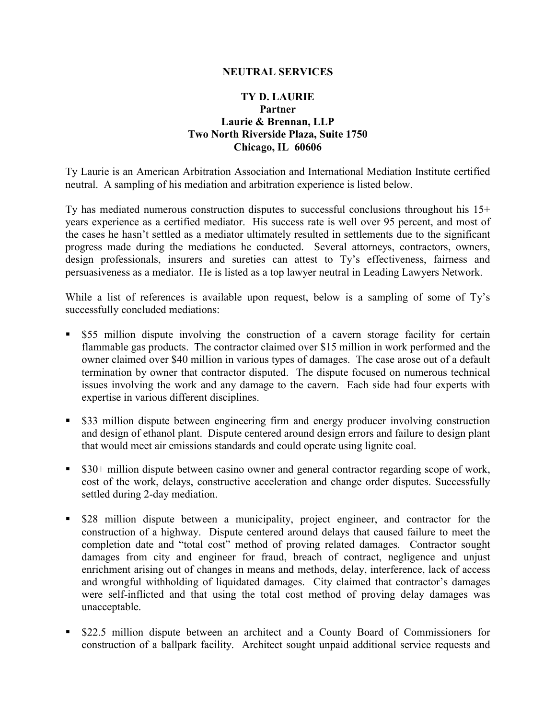## **NEUTRAL SERVICES**

## **TY D. LAURIE Partner Laurie & Brennan, LLP Two North Riverside Plaza, Suite 1750 Chicago, IL 60606**

Ty Laurie is an American Arbitration Association and International Mediation Institute certified neutral. A sampling of his mediation and arbitration experience is listed below.

Ty has mediated numerous construction disputes to successful conclusions throughout his 15+ years experience as a certified mediator. His success rate is well over 95 percent, and most of the cases he hasn't settled as a mediator ultimately resulted in settlements due to the significant progress made during the mediations he conducted. Several attorneys, contractors, owners, design professionals, insurers and sureties can attest to Ty's effectiveness, fairness and persuasiveness as a mediator. He is listed as a top lawyer neutral in Leading Lawyers Network.

While a list of references is available upon request, below is a sampling of some of Ty's successfully concluded mediations:

- \$55 million dispute involving the construction of a cavern storage facility for certain flammable gas products. The contractor claimed over \$15 million in work performed and the owner claimed over \$40 million in various types of damages. The case arose out of a default termination by owner that contractor disputed. The dispute focused on numerous technical issues involving the work and any damage to the cavern. Each side had four experts with expertise in various different disciplines.
- **S33** million dispute between engineering firm and energy producer involving construction and design of ethanol plant. Dispute centered around design errors and failure to design plant that would meet air emissions standards and could operate using lignite coal.
- \$30+ million dispute between casino owner and general contractor regarding scope of work, cost of the work, delays, constructive acceleration and change order disputes. Successfully settled during 2-day mediation.
- \$28 million dispute between a municipality, project engineer, and contractor for the construction of a highway. Dispute centered around delays that caused failure to meet the completion date and "total cost" method of proving related damages. Contractor sought damages from city and engineer for fraud, breach of contract, negligence and unjust enrichment arising out of changes in means and methods, delay, interference, lack of access and wrongful withholding of liquidated damages. City claimed that contractor's damages were self-inflicted and that using the total cost method of proving delay damages was unacceptable.
- \$22.5 million dispute between an architect and a County Board of Commissioners for construction of a ballpark facility. Architect sought unpaid additional service requests and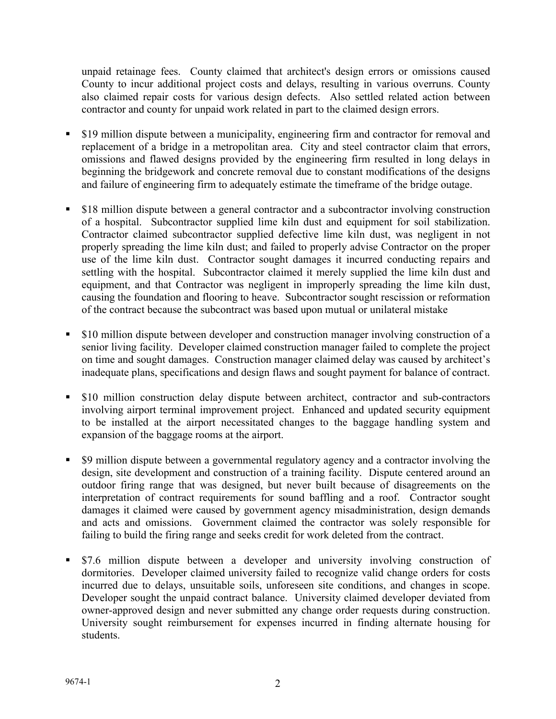unpaid retainage fees. County claimed that architect's design errors or omissions caused County to incur additional project costs and delays, resulting in various overruns. County also claimed repair costs for various design defects. Also settled related action between contractor and county for unpaid work related in part to the claimed design errors.

- \$19 million dispute between a municipality, engineering firm and contractor for removal and replacement of a bridge in a metropolitan area. City and steel contractor claim that errors, omissions and flawed designs provided by the engineering firm resulted in long delays in beginning the bridgework and concrete removal due to constant modifications of the designs and failure of engineering firm to adequately estimate the timeframe of the bridge outage.
- \$18 million dispute between a general contractor and a subcontractor involving construction of a hospital. Subcontractor supplied lime kiln dust and equipment for soil stabilization. Contractor claimed subcontractor supplied defective lime kiln dust, was negligent in not properly spreading the lime kiln dust; and failed to properly advise Contractor on the proper use of the lime kiln dust. Contractor sought damages it incurred conducting repairs and settling with the hospital. Subcontractor claimed it merely supplied the lime kiln dust and equipment, and that Contractor was negligent in improperly spreading the lime kiln dust, causing the foundation and flooring to heave. Subcontractor sought rescission or reformation of the contract because the subcontract was based upon mutual or unilateral mistake
- \$10 million dispute between developer and construction manager involving construction of a senior living facility. Developer claimed construction manager failed to complete the project on time and sought damages. Construction manager claimed delay was caused by architect's inadequate plans, specifications and design flaws and sought payment for balance of contract.
- \$10 million construction delay dispute between architect, contractor and sub-contractors involving airport terminal improvement project. Enhanced and updated security equipment to be installed at the airport necessitated changes to the baggage handling system and expansion of the baggage rooms at the airport.
- \$9 million dispute between a governmental regulatory agency and a contractor involving the design, site development and construction of a training facility. Dispute centered around an outdoor firing range that was designed, but never built because of disagreements on the interpretation of contract requirements for sound baffling and a roof. Contractor sought damages it claimed were caused by government agency misadministration, design demands and acts and omissions. Government claimed the contractor was solely responsible for failing to build the firing range and seeks credit for work deleted from the contract.
- \$7.6 million dispute between a developer and university involving construction of dormitories. Developer claimed university failed to recognize valid change orders for costs incurred due to delays, unsuitable soils, unforeseen site conditions, and changes in scope. Developer sought the unpaid contract balance. University claimed developer deviated from owner-approved design and never submitted any change order requests during construction. University sought reimbursement for expenses incurred in finding alternate housing for students.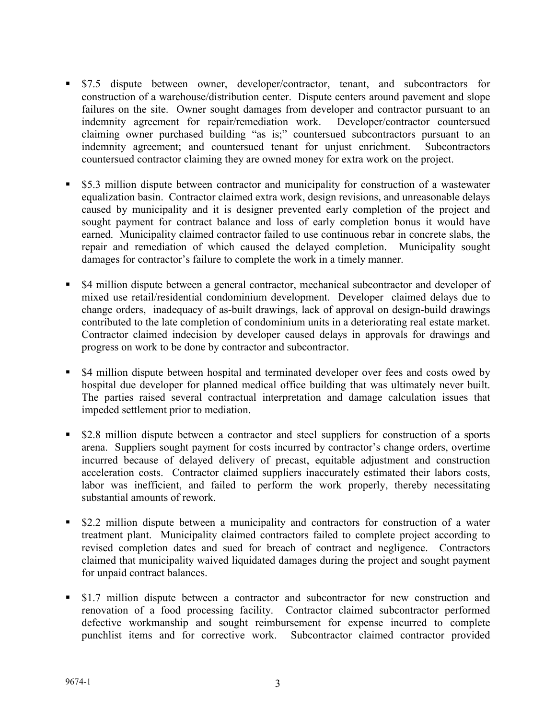- \$7.5 dispute between owner, developer/contractor, tenant, and subcontractors for construction of a warehouse/distribution center. Dispute centers around pavement and slope failures on the site. Owner sought damages from developer and contractor pursuant to an indemnity agreement for repair/remediation work. Developer/contractor countersued claiming owner purchased building "as is;" countersued subcontractors pursuant to an indemnity agreement; and countersued tenant for unjust enrichment. Subcontractors countersued contractor claiming they are owned money for extra work on the project.
- \$5.3 million dispute between contractor and municipality for construction of a wastewater equalization basin. Contractor claimed extra work, design revisions, and unreasonable delays caused by municipality and it is designer prevented early completion of the project and sought payment for contract balance and loss of early completion bonus it would have earned. Municipality claimed contractor failed to use continuous rebar in concrete slabs, the repair and remediation of which caused the delayed completion. Municipality sought damages for contractor's failure to complete the work in a timely manner.
- \$4 million dispute between a general contractor, mechanical subcontractor and developer of mixed use retail/residential condominium development. Developer claimed delays due to change orders, inadequacy of as-built drawings, lack of approval on design-build drawings contributed to the late completion of condominium units in a deteriorating real estate market. Contractor claimed indecision by developer caused delays in approvals for drawings and progress on work to be done by contractor and subcontractor.
- \$4 million dispute between hospital and terminated developer over fees and costs owed by hospital due developer for planned medical office building that was ultimately never built. The parties raised several contractual interpretation and damage calculation issues that impeded settlement prior to mediation.
- **•** \$2.8 million dispute between a contractor and steel suppliers for construction of a sports arena. Suppliers sought payment for costs incurred by contractor's change orders, overtime incurred because of delayed delivery of precast, equitable adjustment and construction acceleration costs. Contractor claimed suppliers inaccurately estimated their labors costs, labor was inefficient, and failed to perform the work properly, thereby necessitating substantial amounts of rework.
- **52.2 million dispute between a municipality and contractors for construction of a water** treatment plant. Municipality claimed contractors failed to complete project according to revised completion dates and sued for breach of contract and negligence. Contractors claimed that municipality waived liquidated damages during the project and sought payment for unpaid contract balances.
- **51.7 million dispute between a contractor and subcontractor for new construction and** renovation of a food processing facility. Contractor claimed subcontractor performed defective workmanship and sought reimbursement for expense incurred to complete punchlist items and for corrective work. Subcontractor claimed contractor provided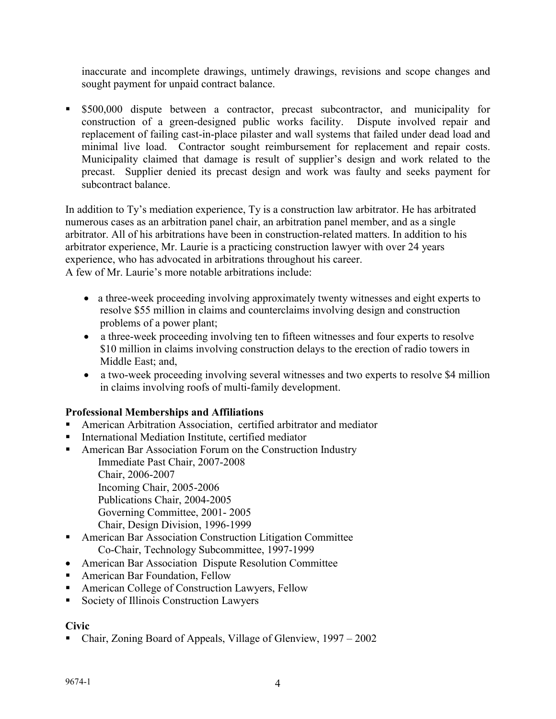inaccurate and incomplete drawings, untimely drawings, revisions and scope changes and sought payment for unpaid contract balance.

 \$500,000 dispute between a contractor, precast subcontractor, and municipality for construction of a green-designed public works facility. Dispute involved repair and replacement of failing cast-in-place pilaster and wall systems that failed under dead load and minimal live load. Contractor sought reimbursement for replacement and repair costs. Municipality claimed that damage is result of supplier's design and work related to the precast. Supplier denied its precast design and work was faulty and seeks payment for subcontract balance.

In addition to Ty's mediation experience, Ty is a construction law arbitrator. He has arbitrated numerous cases as an arbitration panel chair, an arbitration panel member, and as a single arbitrator. All of his arbitrations have been in construction-related matters. In addition to his arbitrator experience, Mr. Laurie is a practicing construction lawyer with over 24 years experience, who has advocated in arbitrations throughout his career. A few of Mr. Laurie's more notable arbitrations include:

- a three-week proceeding involving approximately twenty witnesses and eight experts to resolve \$55 million in claims and counterclaims involving design and construction problems of a power plant;
- a three-week proceeding involving ten to fifteen witnesses and four experts to resolve \$10 million in claims involving construction delays to the erection of radio towers in Middle East; and,
- a two-week proceeding involving several witnesses and two experts to resolve \$4 million in claims involving roofs of multi-family development.

# **Professional Memberships and Affiliations**

- American Arbitration Association, certified arbitrator and mediator
- International Mediation Institute, certified mediator
- American Bar Association Forum on the Construction Industry

Immediate Past Chair, 2007-2008 Chair, 2006-2007 Incoming Chair, 2005-2006 Publications Chair, 2004-2005 Governing Committee, 2001- 2005 Chair, Design Division, 1996-1999

- American Bar Association Construction Litigation Committee Co-Chair, Technology Subcommittee, 1997-1999
- American Bar Association Dispute Resolution Committee
- American Bar Foundation, Fellow
- American College of Construction Lawyers, Fellow
- Society of Illinois Construction Lawyers

# **Civic**

Chair, Zoning Board of Appeals, Village of Glenview, 1997 – 2002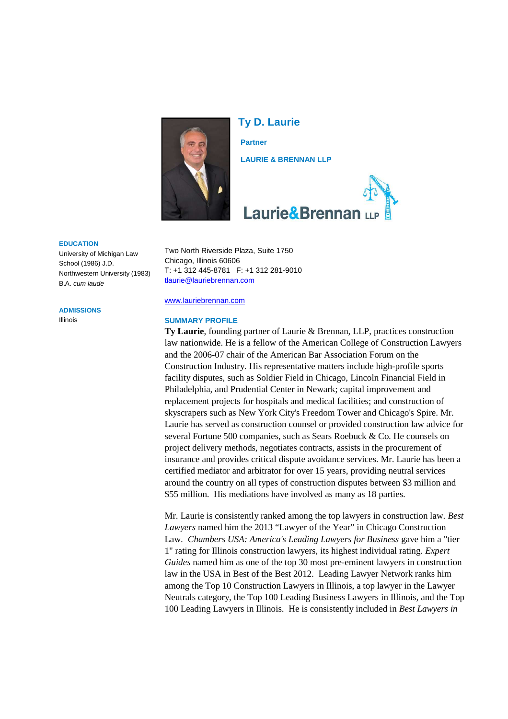

**Ty D. Laurie Partner LAURIE & BRENNAN LLP**



#### **EDUCATION**

University of Michigan Law School (1986) J.D. Northwestern University (1983) B.A. *cum laude*

#### **ADMISSIONS**

Illinois

#### Two North Riverside Plaza, Suite 1750 Chicago, Illinois 60606 T: +1 312 445-8781 F: +1 312 281-9010 tlaurie@lauriebrennan.com

#### www.lauriebrennan.com

#### **SUMMARY PROFILE**

**Ty Laurie**, founding partner of Laurie & Brennan, LLP, practices construction law nationwide. He is a fellow of the American College of Construction Lawyers and the 2006-07 chair of the American Bar Association Forum on the Construction Industry. His representative matters include high-profile sports facility disputes, such as Soldier Field in Chicago, Lincoln Financial Field in Philadelphia, and Prudential Center in Newark; capital improvement and replacement projects for hospitals and medical facilities; and construction of skyscrapers such as New York City's Freedom Tower and Chicago's Spire. Mr. Laurie has served as construction counsel or provided construction law advice for several Fortune 500 companies, such as Sears Roebuck & Co. He counsels on project delivery methods, negotiates contracts, assists in the procurement of insurance and provides critical dispute avoidance services. Mr. Laurie has been a certified mediator and arbitrator for over 15 years, providing neutral services around the country on all types of construction disputes between \$3 million and \$55 million. His mediations have involved as many as 18 parties.

Mr. Laurie is consistently ranked among the top lawyers in construction law. *Best Lawyers* named him the 2013 "Lawyer of the Year" in Chicago Construction Law. *Chambers USA: America's Leading Lawyers for Business* gave him a "tier 1" rating for Illinois construction lawyers, its highest individual rating. *Expert Guides* named him as one of the top 30 most pre-eminent lawyers in construction law in the USA in Best of the Best 2012. Leading Lawyer Network ranks him among the Top 10 Construction Lawyers in Illinois, a top lawyer in the Lawyer Neutrals category, the Top 100 Leading Business Lawyers in Illinois, and the Top 100 Leading Lawyers in Illinois. He is consistently included in *Best Lawyers in*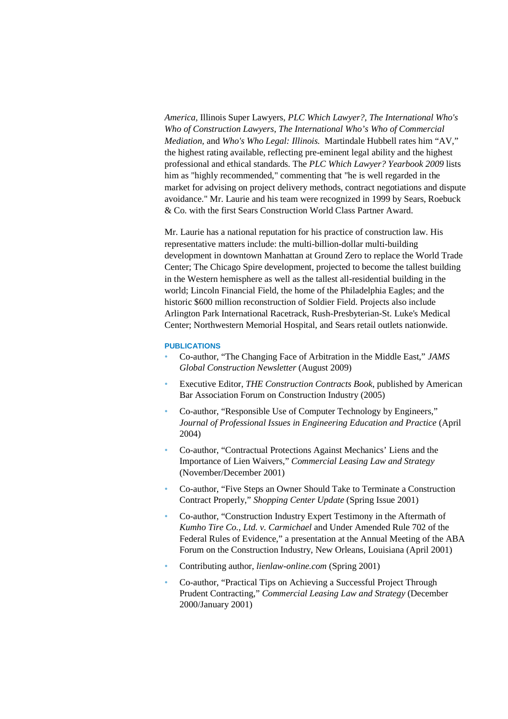*America,* Illinois Super Lawyers, *PLC Which Lawyer?, The International Who's Who of Construction Lawyers*, *The International Who's Who of Commercial Mediation,* and *Who's Who Legal: Illinois.* Martindale Hubbell rates him "AV," the highest rating available, reflecting pre-eminent legal ability and the highest professional and ethical standards. The *PLC Which Lawyer? Yearbook 2009* lists him as "highly recommended," commenting that "he is well regarded in the market for advising on project delivery methods, contract negotiations and dispute avoidance." Mr. Laurie and his team were recognized in 1999 by Sears, Roebuck & Co. with the first Sears Construction World Class Partner Award.

Mr. Laurie has a national reputation for his practice of construction law. His representative matters include: the multi-billion-dollar multi-building development in downtown Manhattan at Ground Zero to replace the World Trade Center; The Chicago Spire development, projected to become the tallest building in the Western hemisphere as well as the tallest all-residential building in the world; Lincoln Financial Field, the home of the Philadelphia Eagles; and the historic \$600 million reconstruction of Soldier Field. Projects also include Arlington Park International Racetrack, Rush-Presbyterian-St. Luke's Medical Center; Northwestern Memorial Hospital, and Sears retail outlets nationwide.

#### **PUBLICATIONS**

- Co-author, "The Changing Face of Arbitration in the Middle East," *JAMS Global Construction Newsletter* (August 2009)
- Executive Editor, *THE Construction Contracts Book*, published by American Bar Association Forum on Construction Industry (2005)
- Co-author, "Responsible Use of Computer Technology by Engineers," *Journal of Professional Issues in Engineering Education and Practice* (April 2004)
- Co-author, "Contractual Protections Against Mechanics' Liens and the Importance of Lien Waivers," *Commercial Leasing Law and Strategy* (November/December 2001)
- Co-author, "Five Steps an Owner Should Take to Terminate a Construction Contract Properly," *Shopping Center Update* (Spring Issue 2001)
- Co-author, "Construction Industry Expert Testimony in the Aftermath of *Kumho Tire Co., Ltd. v. Carmichael* and Under Amended Rule 702 of the Federal Rules of Evidence," a presentation at the Annual Meeting of the ABA Forum on the Construction Industry, New Orleans, Louisiana (April 2001)
- Contributing author, *lienlaw-online.com* (Spring 2001)
- Co-author, "Practical Tips on Achieving a Successful Project Through Prudent Contracting," *Commercial Leasing Law and Strategy* (December 2000/January 2001)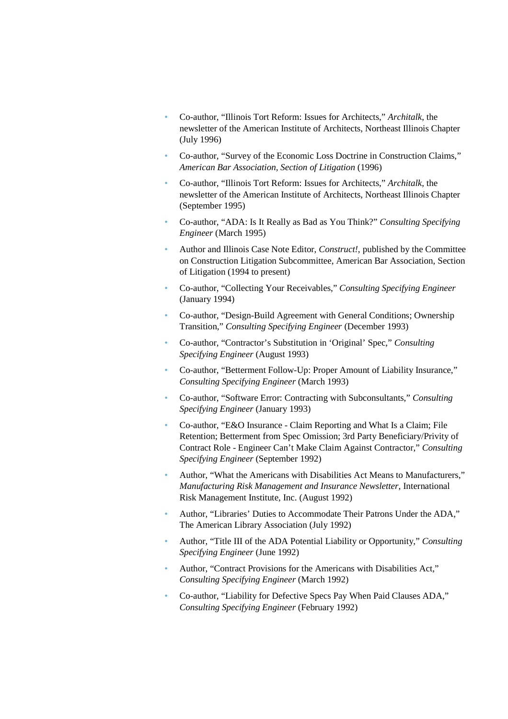- Co-author, "Illinois Tort Reform: Issues for Architects," *Architalk*, the newsletter of the American Institute of Architects, Northeast Illinois Chapter (July 1996)
- Co-author, "Survey of the Economic Loss Doctrine in Construction Claims," *American Bar Association, Section of Litigation* (1996)
- Co-author, "Illinois Tort Reform: Issues for Architects," *Architalk*, the newsletter of the American Institute of Architects, Northeast Illinois Chapter (September 1995)
- Co-author, "ADA: Is It Really as Bad as You Think?" *Consulting Specifying Engineer* (March 1995)
- Author and Illinois Case Note Editor, *Construct!*, published by the Committee on Construction Litigation Subcommittee, American Bar Association, Section of Litigation (1994 to present)
- Co-author, "Collecting Your Receivables," *Consulting Specifying Engineer* (January 1994)
- Co-author, "Design-Build Agreement with General Conditions; Ownership Transition," *Consulting Specifying Engineer* (December 1993)
- Co-author, "Contractor's Substitution in 'Original' Spec," *Consulting Specifying Engineer* (August 1993)
- Co-author, "Betterment Follow-Up: Proper Amount of Liability Insurance," *Consulting Specifying Engineer* (March 1993)
- Co-author, "Software Error: Contracting with Subconsultants," *Consulting Specifying Engineer* (January 1993)
- Co-author, "E&O Insurance Claim Reporting and What Is a Claim; File Retention; Betterment from Spec Omission; 3rd Party Beneficiary/Privity of Contract Role - Engineer Can't Make Claim Against Contractor," *Consulting Specifying Engineer* (September 1992)
- Author, "What the Americans with Disabilities Act Means to Manufacturers," *Manufacturing Risk Management and Insurance Newsletter*, International Risk Management Institute, Inc. (August 1992)
- Author, "Libraries' Duties to Accommodate Their Patrons Under the ADA," The American Library Association (July 1992)
- Author, "Title III of the ADA Potential Liability or Opportunity," *Consulting Specifying Engineer* (June 1992)
- Author, "Contract Provisions for the Americans with Disabilities Act," *Consulting Specifying Engineer* (March 1992)
- Co-author, "Liability for Defective Specs Pay When Paid Clauses ADA," *Consulting Specifying Engineer* (February 1992)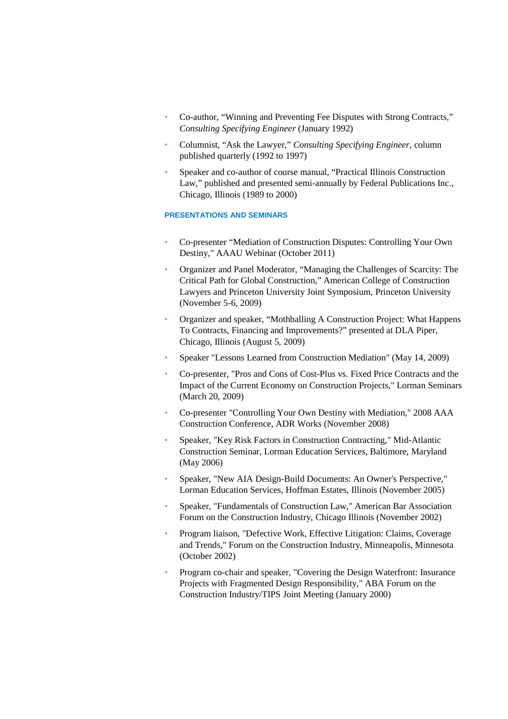- Co-author, "Winning and Preventing Fee Disputes with Strong Contracts," *Consulting Specifying Engineer* (January 1992)
- Columnist, "Ask the Lawyer," *Consulting Specifying Engineer*, column published quarterly (1992 to 1997)
- Speaker and co-author of course manual, "Practical Illinois Construction Law," published and presented semi-annually by Federal Publications Inc., Chicago, Illinois (1989 to 2000)

#### **PRESENTATIONS AND SEMINARS**

- Co-presenter "Mediation of Construction Disputes: Controlling Your Own Destiny," AAAU Webinar (October 2011)
- Organizer and Panel Moderator, "Managing the Challenges of Scarcity: The Critical Path for Global Construction," American College of Construction Lawyers and Princeton University Joint Symposium, Princeton University (November 5-6, 2009)
- Organizer and speaker, "Mothballing A Construction Project: What Happens To Contracts, Financing and Improvements?" presented at DLA Piper, Chicago, Illinois (August 5, 2009)
- Speaker "Lessons Learned from Construction Mediation" (May 14, 2009)
- Co-presenter, "Pros and Cons of Cost-Plus vs. Fixed Price Contracts and the Impact of the Current Economy on Construction Projects," Lorman Seminars (March 20, 2009)
- Co-presenter "Controlling Your Own Destiny with Mediation," 2008 AAA Construction Conference, ADR Works (November 2008)
- Speaker, "Key Risk Factors in Construction Contracting," Mid-Atlantic Construction Seminar, Lorman Education Services, Baltimore, Maryland (May 2006)
- Speaker, "New AIA Design-Build Documents: An Owner's Perspective," Lorman Education Services, Hoffman Estates, Illinois (November 2005)
- Speaker, "Fundamentals of Construction Law," American Bar Association Forum on the Construction Industry, Chicago Illinois (November 2002)
- Program liaison, "Defective Work, Effective Litigation: Claims, Coverage and Trends," Forum on the Construction Industry, Minneapolis, Minnesota (October 2002)
- Program co-chair and speaker, "Covering the Design Waterfront: Insurance Projects with Fragmented Design Responsibility," ABA Forum on the Construction Industry/TIPS Joint Meeting (January 2000)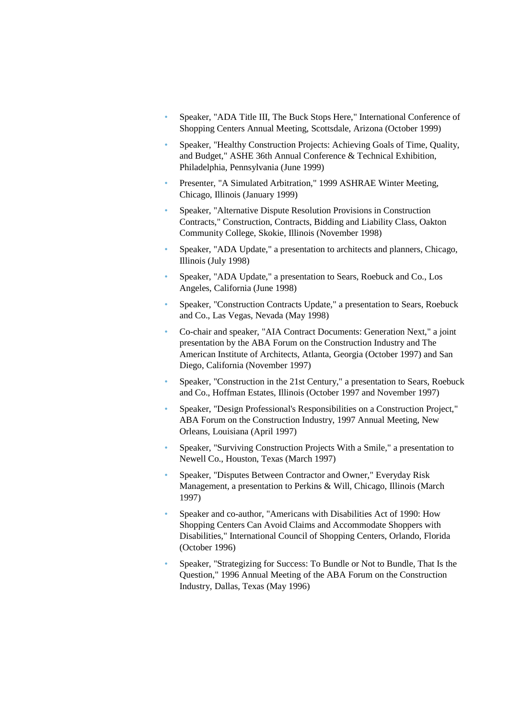- Speaker, "ADA Title III, The Buck Stops Here," International Conference of Shopping Centers Annual Meeting, Scottsdale, Arizona (October 1999)
- Speaker, "Healthy Construction Projects: Achieving Goals of Time, Quality, and Budget," ASHE 36th Annual Conference & Technical Exhibition, Philadelphia, Pennsylvania (June 1999)
- Presenter, "A Simulated Arbitration," 1999 ASHRAE Winter Meeting, Chicago, Illinois (January 1999)
- Speaker, "Alternative Dispute Resolution Provisions in Construction Contracts," Construction, Contracts, Bidding and Liability Class, Oakton Community College, Skokie, Illinois (November 1998)
- Speaker, "ADA Update," a presentation to architects and planners, Chicago, Illinois (July 1998)
- Speaker, "ADA Update," a presentation to Sears, Roebuck and Co., Los Angeles, California (June 1998)
- Speaker, "Construction Contracts Update," a presentation to Sears, Roebuck and Co., Las Vegas, Nevada (May 1998)
- Co-chair and speaker, "AIA Contract Documents: Generation Next," a joint presentation by the ABA Forum on the Construction Industry and The American Institute of Architects, Atlanta, Georgia (October 1997) and San Diego, California (November 1997)
- Speaker, "Construction in the 21st Century," a presentation to Sears, Roebuck and Co., Hoffman Estates, Illinois (October 1997 and November 1997)
- Speaker, "Design Professional's Responsibilities on a Construction Project," ABA Forum on the Construction Industry, 1997 Annual Meeting, New Orleans, Louisiana (April 1997)
- Speaker, "Surviving Construction Projects With a Smile," a presentation to Newell Co., Houston, Texas (March 1997)
- Speaker, "Disputes Between Contractor and Owner," Everyday Risk Management, a presentation to Perkins & Will, Chicago, Illinois (March 1997)
- Speaker and co-author, "Americans with Disabilities Act of 1990: How Shopping Centers Can Avoid Claims and Accommodate Shoppers with Disabilities," International Council of Shopping Centers, Orlando, Florida (October 1996)
- Speaker, "Strategizing for Success: To Bundle or Not to Bundle, That Is the Question," 1996 Annual Meeting of the ABA Forum on the Construction Industry, Dallas, Texas (May 1996)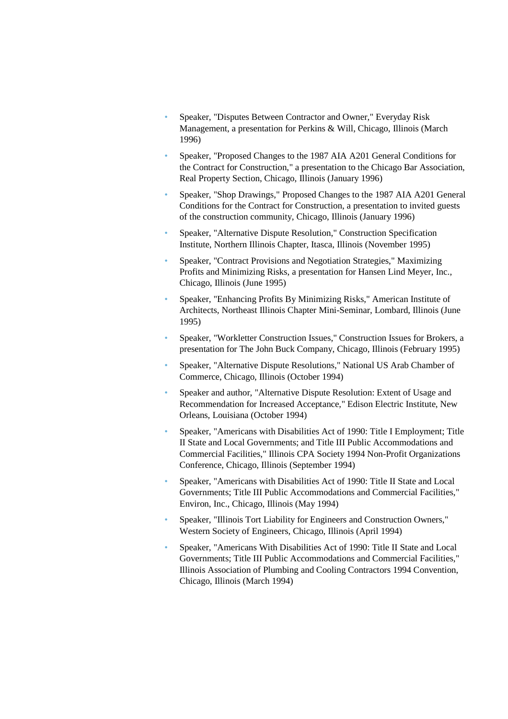- Speaker, "Disputes Between Contractor and Owner," Everyday Risk Management, a presentation for Perkins & Will, Chicago, Illinois (March 1996)
- Speaker, "Proposed Changes to the 1987 AIA A201 General Conditions for the Contract for Construction," a presentation to the Chicago Bar Association, Real Property Section, Chicago, Illinois (January 1996)
- Speaker, "Shop Drawings," Proposed Changes to the 1987 AIA A201 General Conditions for the Contract for Construction, a presentation to invited guests of the construction community, Chicago, Illinois (January 1996)
- Speaker, "Alternative Dispute Resolution," Construction Specification Institute, Northern Illinois Chapter, Itasca, Illinois (November 1995)
- Speaker, "Contract Provisions and Negotiation Strategies," Maximizing Profits and Minimizing Risks, a presentation for Hansen Lind Meyer, Inc., Chicago, Illinois (June 1995)
- Speaker, "Enhancing Profits By Minimizing Risks," American Institute of Architects, Northeast Illinois Chapter Mini-Seminar, Lombard, Illinois (June 1995)
- Speaker, "Workletter Construction Issues," Construction Issues for Brokers, a presentation for The John Buck Company, Chicago, Illinois (February 1995)
- Speaker, "Alternative Dispute Resolutions," National US Arab Chamber of Commerce, Chicago, Illinois (October 1994)
- Speaker and author, "Alternative Dispute Resolution: Extent of Usage and Recommendation for Increased Acceptance," Edison Electric Institute, New Orleans, Louisiana (October 1994)
- Speaker, "Americans with Disabilities Act of 1990: Title I Employment; Title II State and Local Governments; and Title III Public Accommodations and Commercial Facilities," Illinois CPA Society 1994 Non-Profit Organizations Conference, Chicago, Illinois (September 1994)
- Speaker, "Americans with Disabilities Act of 1990: Title II State and Local Governments; Title III Public Accommodations and Commercial Facilities," Environ, Inc., Chicago, Illinois (May 1994)
- Speaker, "Illinois Tort Liability for Engineers and Construction Owners," Western Society of Engineers, Chicago, Illinois (April 1994)
- Speaker, "Americans With Disabilities Act of 1990: Title II State and Local Governments; Title III Public Accommodations and Commercial Facilities," Illinois Association of Plumbing and Cooling Contractors 1994 Convention, Chicago, Illinois (March 1994)